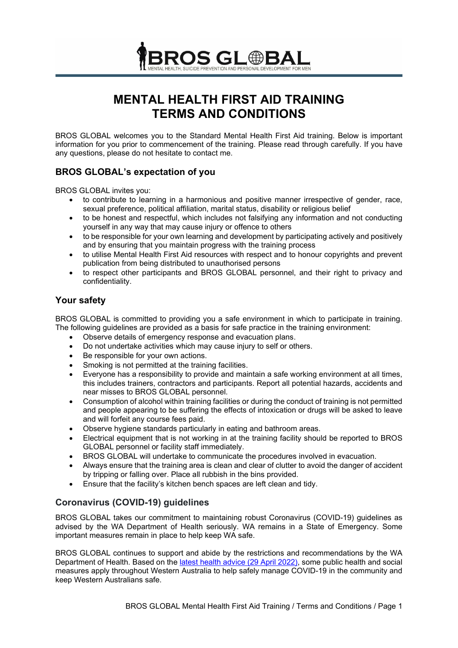

# **MENTAL HEALTH FIRST AID TRAINING TERMS AND CONDITIONS**

BROS GLOBAL welcomes you to the Standard Mental Health First Aid training. Below is important information for you prior to commencement of the training. Please read through carefully. If you have any questions, please do not hesitate to contact me.

# **BROS GLOBAL's expectation of you**

BROS GLOBAL invites you:

- to contribute to learning in a harmonious and positive manner irrespective of gender, race, sexual preference, political affiliation, marital status, disability or religious belief
- to be honest and respectful, which includes not falsifying any information and not conducting yourself in any way that may cause injury or offence to others
- to be responsible for your own learning and development by participating actively and positively and by ensuring that you maintain progress with the training process
- to utilise Mental Health First Aid resources with respect and to honour copyrights and prevent publication from being distributed to unauthorised persons
- to respect other participants and BROS GLOBAL personnel, and their right to privacy and confidentiality.

# **Your safety**

BROS GLOBAL is committed to providing you a safe environment in which to participate in training. The following guidelines are provided as a basis for safe practice in the training environment:

- Observe details of emergency response and evacuation plans.
- Do not undertake activities which may cause injury to self or others.
- Be responsible for your own actions.
- Smoking is not permitted at the training facilities.
- Everyone has a responsibility to provide and maintain a safe working environment at all times, this includes trainers, contractors and participants. Report all potential hazards, accidents and near misses to BROS GLOBAL personnel.
- Consumption of alcohol within training facilities or during the conduct of training is not permitted and people appearing to be suffering the effects of intoxication or drugs will be asked to leave and will forfeit any course fees paid.
- Observe hygiene standards particularly in eating and bathroom areas.
- Electrical equipment that is not working in at the training facility should be reported to BROS GLOBAL personnel or facility staff immediately.
- BROS GLOBAL will undertake to communicate the procedures involved in evacuation.
- Always ensure that the training area is clean and clear of clutter to avoid the danger of accident by tripping or falling over. Place all rubbish in the bins provided.
- Ensure that the facility's kitchen bench spaces are left clean and tidy.

# **Coronavirus (COVID-19) guidelines**

BROS GLOBAL takes our commitment to maintaining robust Coronavirus (COVID-19) guidelines as advised by the WA Department of Health seriously. WA remains in a State of Emergency. Some important measures remain in place to help keep WA safe.

BROS GLOBAL continues to support and abide by the restrictions and recommendations by the WA Department of Health. Based on the [latest health advice \(29 April 2022\),](https://www.wa.gov.au/government/covid-19-coronavirus/covid-19-coronavirus-what-you-can-and-cant-do#proofofvax) some public health and social measures apply throughout Western Australia to help safely manage COVID-19 in the community and keep Western Australians safe.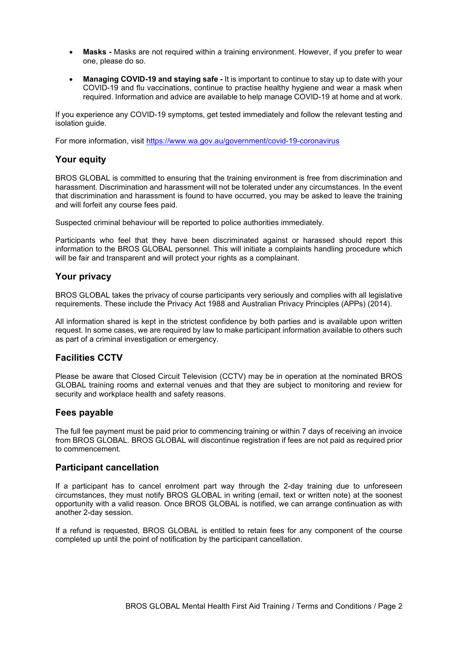- **Masks** Masks are not required within a training environment. However, if you prefer to wear one, please do so.
- **Managing COVID-19 and staying safe** It is important to continue to stay up to date with your COVID-19 and flu vaccinations, continue to practise healthy hygiene and wear a mask when required. Information and advice are available to help [manage COVID-19](https://www.wa.gov.au/government/covid-19-coronavirus/covid-19-coronavirus-managing-covid-19-wa) at home and at work.

If you experience any COVID-19 [symptoms,](https://www.healthywa.wa.gov.au/Articles/A_E/Coronavirus/Managing-COVID19-at-home-and-in-the-community/COVID19-symptoms-what-to-expect) get tested immediately and follow the relevant [testing and](https://www.wa.gov.au/government/document-collections/covid-19-coronavirus-what-do-if-you-have-covid-19-or-are-close-contact)  [isolation guide.](https://www.wa.gov.au/government/document-collections/covid-19-coronavirus-what-do-if-you-have-covid-19-or-are-close-contact)

For more information, visit<https://www.wa.gov.au/government/covid-19-coronavirus>

#### **Your equity**

BROS GLOBAL is committed to ensuring that the training environment is free from discrimination and harassment. Discrimination and harassment will not be tolerated under any circumstances. In the event that discrimination and harassment is found to have occurred, you may be asked to leave the training and will forfeit any course fees paid.

Suspected criminal behaviour will be reported to police authorities immediately.

Participants who feel that they have been discriminated against or harassed should report this information to the BROS GLOBAL personnel. This will initiate a complaints handling procedure which will be fair and transparent and will protect your rights as a complainant.

#### **Your privacy**

BROS GLOBAL takes the privacy of course participants very seriously and complies with all legislative requirements. These include the Privacy Act 1988 and Australian Privacy Principles (APPs) (2014).

All information shared is kept in the strictest confidence by both parties and is available upon written request. In some cases, we are required by law to make participant information available to others such as part of a criminal investigation or emergency.

#### **Facilities CCTV**

Please be aware that Closed Circuit Television (CCTV) may be in operation at the nominated BROS GLOBAL training rooms and external venues and that they are subject to monitoring and review for security and workplace health and safety reasons.

#### **Fees payable**

The full fee payment must be paid prior to commencing training or within 7 days of receiving an invoice from BROS GLOBAL. BROS GLOBAL will discontinue registration if fees are not paid as required prior to commencement.

#### **Participant cancellation**

If a participant has to cancel enrolment part way through the 2-day training due to unforeseen circumstances, they must notify BROS GLOBAL in writing (email, text or written note) at the soonest opportunity with a valid reason. Once BROS GLOBAL is notified, we can arrange continuation as with another 2-day session.

If a refund is requested, BROS GLOBAL is entitled to retain fees for any component of the course completed up until the point of notification by the participant cancellation.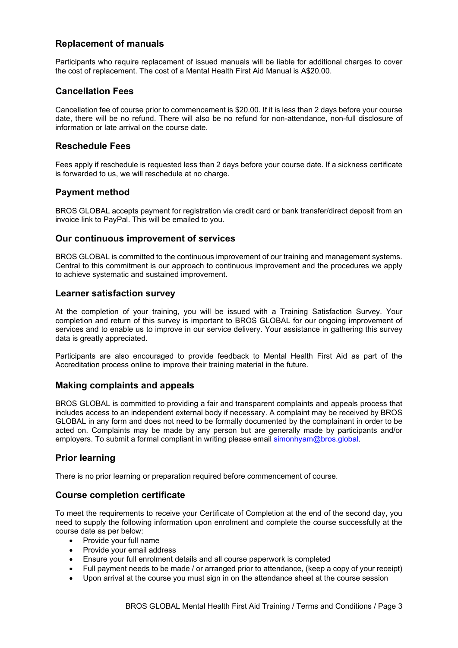# **Replacement of manuals**

Participants who require replacement of issued manuals will be liable for additional charges to cover the cost of replacement. The cost of a Mental Health First Aid Manual is A\$20.00.

### **Cancellation Fees**

Cancellation fee of course prior to commencement is \$20.00. If it is less than 2 days before your course date, there will be no refund. There will also be no refund for non-attendance, non-full disclosure of information or late arrival on the course date.

#### **Reschedule Fees**

Fees apply if reschedule is requested less than 2 days before your course date. If a sickness certificate is forwarded to us, we will reschedule at no charge.

## **Payment method**

BROS GLOBAL accepts payment for registration via credit card or bank transfer/direct deposit from an invoice link to PayPal. This will be emailed to you.

## **Our continuous improvement of services**

BROS GLOBAL is committed to the continuous improvement of our training and management systems. Central to this commitment is our approach to continuous improvement and the procedures we apply to achieve systematic and sustained improvement.

#### **Learner satisfaction survey**

At the completion of your training, you will be issued with a Training Satisfaction Survey. Your completion and return of this survey is important to BROS GLOBAL for our ongoing improvement of services and to enable us to improve in our service delivery. Your assistance in gathering this survey data is greatly appreciated.

Participants are also encouraged to provide feedback to Mental Health First Aid as part of the Accreditation process online to improve their training material in the future.

#### **Making complaints and appeals**

BROS GLOBAL is committed to providing a fair and transparent complaints and appeals process that includes access to an independent external body if necessary. A complaint may be received by BROS GLOBAL in any form and does not need to be formally documented by the complainant in order to be acted on. Complaints may be made by any person but are generally made by participants and/or employers. To submit a formal compliant in writing please email [simonhyam@bros.global.](mailto:simonhyam@bros.global)

# **Prior learning**

There is no prior learning or preparation required before commencement of course.

#### **Course completion certificate**

To meet the requirements to receive your Certificate of Completion at the end of the second day, you need to supply the following information upon enrolment and complete the course successfully at the course date as per below:

- Provide your full name
- Provide your email address
- Ensure your full enrolment details and all course paperwork is completed
- Full payment needs to be made / or arranged prior to attendance, (keep a copy of your receipt)
- Upon arrival at the course you must sign in on the attendance sheet at the course session